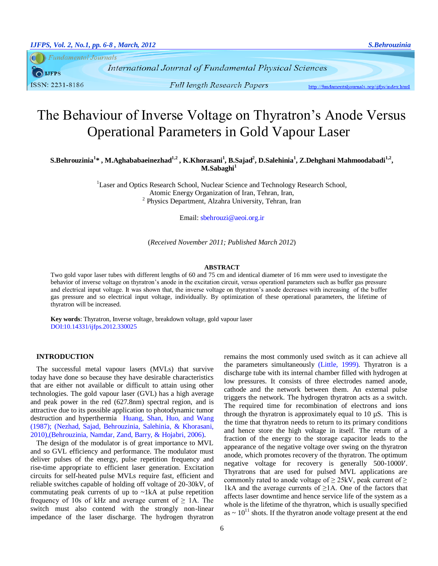**Fundamental Journals**  $\bigcap$  LIFPS ISSN: 2231-8186

**International Journal of Fundamental Physical Sciences** 

http://fundamentaljournals.org/ijfps/index.html

# The Behaviour of Inverse Voltage on Thyratron's Anode Versus Operational Parameters in Gold Vapour Laser

**S.Behrouzinia<sup>1</sup> \* , M.Aghababaeinezhad1,2 , K.Khorasani<sup>1</sup> , B.Sajad<sup>2</sup> , D.Salehinia<sup>1</sup> , Z.Dehghani Mahmoodabadi1,2 , M.Sabaghi<sup>1</sup>**

> <sup>1</sup>Laser and Optics Research School, Nuclear Science and Technology Research School, Atomic Energy Organization of Iran, Tehran, Iran, 2 Physics Department, Alzahra University, Tehran, Iran

> > Email: [sbehrouzi@aeoi.org.ir](mailto:sbehrouzi@aeoi.org.ir)

(*Received November 2011; Published March 2012*)

## **ABSTRACT**

Two gold vapor laser tubes with different lengths of 60 and 75 cm and identical diameter of 16 mm were used to investigate the behavior of inverse voltage on thyratron's anode in the excitation circuit, versus operationl parameters such as buffer gas pressure and electrical input voltage. It was shown that, the inverse voltage on thyratron's anode decreases with increasing of the buffer gas pressure and so electrical input voltage, individually. By optimization of these operational parameters, the lifetime of thyratron will be increased.

**Key words**: Thyratron, Inverse voltage, breakdown voltage, gold vapour laser DOI:10.14331/ijfps.2012.330025

# **INTRODUCTION**

The successful metal vapour lasers (MVLs) that survive today have done so because they have desirable characteristics that are either not available or difficult to attain using other technologies. The gold vapour laser (GVL) has a high average and peak power in the red (627.8nm) spectral region, and is attractive due to its possible application to photodynamic tumor destruction and hyperthermia [Huang, Shan, Huo, and Wang](#page-2-0)  [\(1987\)](#page-2-0); [\(Nezhad, Sajad, Behrouzinia, Salehinia, & Khorasani,](#page-2-1)  [2010\)](#page-2-1),[\(Behrouzinia, Namdar, Zand, Barry, & Hojabri, 2006\)](#page-2-2).

The design of the modulator is of great importance to MVL and so GVL efficiency and performance. The modulator must deliver pulses of the energy, pulse repetition frequency and rise-time appropriate to efficient laser generation. Excitation circuits for self-heated pulse MVLs require fast, efficient and reliable switches capable of holding off voltage of 20-30kV, of commutating peak currents of up to  $\nu$ -1kA at pulse repetition frequency of 10s of kHz and average current of  $\geq$  1A. The switch must also contend with the strongly non-linear impedance of the laser discharge. The hydrogen thyratron

remains the most commonly used switch as it can achieve all the parameters simultaneously [\(Little, 1999\)](#page-2-3). Thyratron is a discharge tube with its internal chamber filled with hydrogen at low pressures. It consists of three electrodes named anode, cathode and the network between them. An external pulse triggers the network. The hydrogen thyratron acts as a switch. The required time for recombination of electrons and ions through the thyratron is approximately equal to 10 µS. This is the time that thyratron needs to return to its primary conditions and hence store the high voltage in itself. The return of a fraction of the energy to the storage capacitor leads to the appearance of the negative voltage over swing on the thyratron anode, which promotes recovery of the thyratron. The optimum negative voltage for recovery is generally 500-1000V. Thyratrons that are used for pulsed MVL applications are commonly rated to anode voltage of  $\geq$  25kV, peak current of  $\geq$ 1kA and the average currents of  $\geq$ 1A. One of the factors that affects laser downtime and hence service life of the system as a whole is the lifetime of the thyratron, which is usually specified as  $\sim 10^{11}$  shots. If the thyratron anode voltage present at the end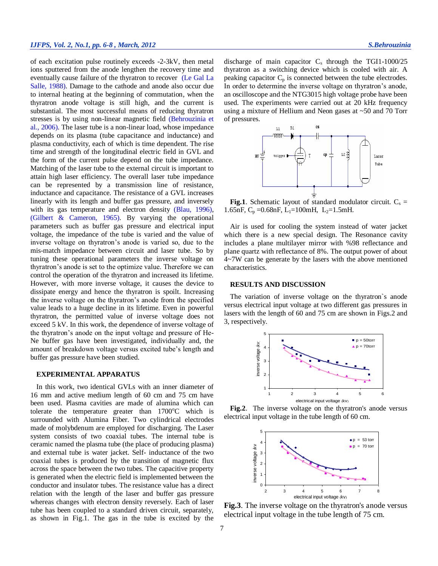of each excitation pulse routinely exceeds -2-3kV, then metal ions sputtered from the anode lengthen the recovery time and eventually cause failure of the thyratron to recover [\(Le Gal La](#page-2-4)  [Salle, 1988\)](#page-2-4). Damage to the cathode and anode also occur due to internal heating at the beginning of commutation, when the thyratron anode voltage is still high, and the current is substantial. The most successful means of reducing thyratron stresses is by using non-linear magnetic field [\(Behrouzinia et](#page-2-2)  [al., 2006\)](#page-2-2). The laser tube is a non-linear load, whose impedance depends on its plasma (tube capacitance and inductance) and plasma conductivity, each of which is time dependent. The rise time and strength of the longitudinal electric field in GVL and the form of the current pulse depend on the tube impedance. Matching of the laser tube to the external circuit is important to attain high laser efficiency. The overall laser tube impedance can be represented by a transmission line of resistance, inductance and capacitance. The resistance of a GVL increases linearly with its length and buffer gas pressure, and inversely with its gas temperature and electron density [\(Blau, 1996\)](#page-2-5), [\(Gilbert & Cameron, 1965\)](#page-2-6). By varying the operational parameters such as buffer gas pressure and electrical input voltage, the impedance of the tube is varied and the value of inverse voltage on thyratron's anode is varied so, due to the mis-match impedance between circuit and laser tube. So by tuning these operational parameters the inverse voltage on thyratron's anode is set to the optimize value. Therefore we can control the operation of the thyratron and increased its lifetime. However, with more inverse voltage, it causes the device to dissipate energy and hence the thyratron is spoilt. Increasing the inverse voltage on the thyratron's anode from the specified value leads to a huge decline in its lifetime. Even in powerful thyratron, the permitted value of inverse voltage does not exceed 5 kV. In this work, the dependence of inverse voltage of the thyratron's anode on the input voltage and pressure of He-Ne buffer gas have been investigated, individually and, the amount of breakdown voltage versus excited tube's length and buffer gas pressure have been studied.

# **EXPERIMENTAL APPARATUS**

In this work, two identical GVLs with an inner diameter of 16 mm and active medium length of 60 cm and 75 cm have been used. Plasma cavities are made of alumina which can tolerate the temperature greater than  $1700^{\circ}$ C which is surrounded with Alumina Fiber. Two cylindrical electrodes made of molybdenum are employed for discharging. The Laser system consists of two coaxial tubes. The internal tube is ceramic named the plasma tube (the place of producing plasma) and external tube is water jacket. Self- inductance of the two coaxial tubes is produced by the transition of magnetic flux across the space between the two tubes. The capacitive property is generated when the electric field is implemented between the conductor and insulator tubes. The resistance value has a direct relation with the length of the laser and buffer gas pressure whereas changes with electron density reversely. Each of laser tube has been coupled to a standard driven circuit, separately, as shown in Fig.1. The gas in the tube is excited by the

discharge of main capacitor  $C_s$  through the TGI1-1000/25 thyratron as a switching device which is cooled with air. A peaking capacitor  $C_p$  is connected between the tube electrodes. In order to determine the inverse voltage on thyratron's anode, an oscilloscope and the NTG3015 high voltage probe have been used. The experiments were carried out at 20 kHz frequency using a mixture of Hellium and Neon gases at ~50 and 70 Torr of pressures.



**Fig.1**. Schematic layout of standard modulator circuit.  $C_s$  = 1.65nF,  $C_p = 0.68$ nF, L<sub>1</sub>=100mH, L<sub>2</sub>=1.5mH.

Air is used for cooling the system instead of water jacket which there is a new special design. The Resonance cavity includes a plane multilayer mirror with %98 reflectance and plane quartz with reflectance of 8%. The output power of about 4~7W can be generate by the lasers with the above mentioned characteristics.

#### **RESULTS AND DISCUSSION**

The variation of inverse voltage on the thyratron`s anode versus electrical input voltage at two different gas pressures in lasers with the length of 60 and 75 cm are shown in Figs.2 and 3, respectively.



**Fig.2**. The inverse voltage on the thyratron's anode versus electrical input voltage in the tube length of 60 cm.



**Fig.3**. The inverse voltage on the thyratron's anode versus electrical input voltage in the tube length of 75 cm.